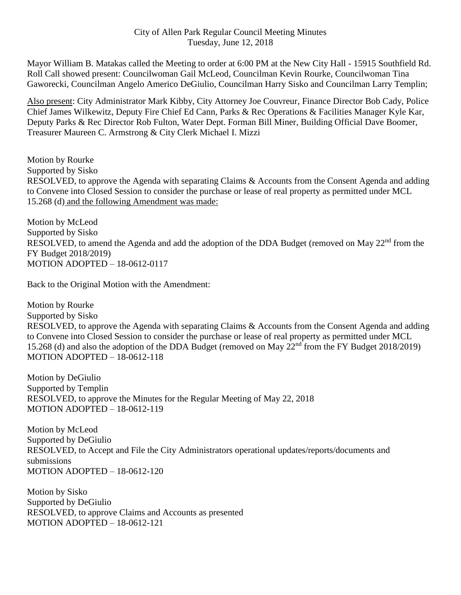## City of Allen Park Regular Council Meeting Minutes Tuesday, June 12, 2018

Mayor William B. Matakas called the Meeting to order at 6:00 PM at the New City Hall - 15915 Southfield Rd. Roll Call showed present: Councilwoman Gail McLeod, Councilman Kevin Rourke, Councilwoman Tina Gaworecki, Councilman Angelo Americo DeGiulio, Councilman Harry Sisko and Councilman Larry Templin;

Also present: City Administrator Mark Kibby, City Attorney Joe Couvreur, Finance Director Bob Cady, Police Chief James Wilkewitz, Deputy Fire Chief Ed Cann, Parks & Rec Operations & Facilities Manager Kyle Kar, Deputy Parks & Rec Director Rob Fulton, Water Dept. Forman Bill Miner, Building Official Dave Boomer, Treasurer Maureen C. Armstrong & City Clerk Michael I. Mizzi

Motion by Rourke Supported by Sisko RESOLVED, to approve the Agenda with separating Claims & Accounts from the Consent Agenda and adding to Convene into Closed Session to consider the purchase or lease of real property as permitted under MCL 15.268 (d) and the following Amendment was made:

Motion by McLeod Supported by Sisko RESOLVED, to amend the Agenda and add the adoption of the DDA Budget (removed on May 22<sup>nd</sup> from the FY Budget 2018/2019) MOTION ADOPTED – 18-0612-0117

Back to the Original Motion with the Amendment:

Motion by Rourke Supported by Sisko RESOLVED, to approve the Agenda with separating Claims & Accounts from the Consent Agenda and adding to Convene into Closed Session to consider the purchase or lease of real property as permitted under MCL 15.268 (d) and also the adoption of the DDA Budget (removed on May 22<sup>nd</sup> from the FY Budget 2018/2019) MOTION ADOPTED – 18-0612-118

Motion by DeGiulio Supported by Templin RESOLVED, to approve the Minutes for the Regular Meeting of May 22, 2018 MOTION ADOPTED – 18-0612-119

Motion by McLeod Supported by DeGiulio RESOLVED, to Accept and File the City Administrators operational updates/reports/documents and submissions MOTION ADOPTED – 18-0612-120

Motion by Sisko Supported by DeGiulio RESOLVED, to approve Claims and Accounts as presented MOTION ADOPTED – 18-0612-121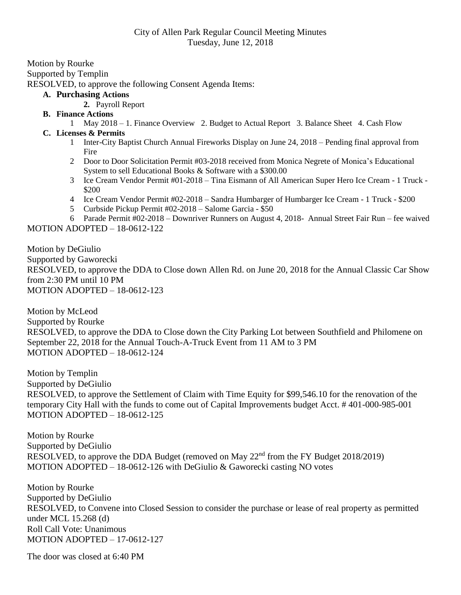Motion by Rourke Supported by Templin RESOLVED, to approve the following Consent Agenda Items:

## **A. Purchasing Actions**

- **2.** Payroll Report
- **B. Finance Actions**
	- 1 May 2018 1. Finance Overview 2. Budget to Actual Report 3. Balance Sheet 4. Cash Flow

## **C. Licenses & Permits**

- 1 Inter-City Baptist Church Annual Fireworks Display on June 24, 2018 Pending final approval from Fire
- 2 Door to Door Solicitation Permit #03-2018 received from Monica Negrete of Monica's Educational System to sell Educational Books & Software with a \$300.00
- 3 Ice Cream Vendor Permit #01-2018 Tina Eismann of All American Super Hero Ice Cream 1 Truck \$200
- 4 Ice Cream Vendor Permit #02-2018 Sandra Humbarger of Humbarger Ice Cream 1 Truck \$200
- 5 Curbside Pickup Permit #02-2018 Salome Garcia \$50

6 Parade Permit #02-2018 – Downriver Runners on August 4, 2018- Annual Street Fair Run – fee waived MOTION ADOPTED – 18-0612-122

Motion by DeGiulio Supported by Gaworecki RESOLVED, to approve the DDA to Close down Allen Rd. on June 20, 2018 for the Annual Classic Car Show from 2:30 PM until 10 PM MOTION ADOPTED – 18-0612-123

Motion by McLeod Supported by Rourke RESOLVED, to approve the DDA to Close down the City Parking Lot between Southfield and Philomene on September 22, 2018 for the Annual Touch-A-Truck Event from 11 AM to 3 PM MOTION ADOPTED – 18-0612-124

Motion by Templin Supported by DeGiulio RESOLVED, to approve the Settlement of Claim with Time Equity for \$99,546.10 for the renovation of the temporary City Hall with the funds to come out of Capital Improvements budget Acct. # 401-000-985-001 MOTION ADOPTED – 18-0612-125

Motion by Rourke Supported by DeGiulio RESOLVED, to approve the DDA Budget (removed on May  $22<sup>nd</sup>$  from the FY Budget 2018/2019) MOTION ADOPTED – 18-0612-126 with DeGiulio & Gaworecki casting NO votes

Motion by Rourke Supported by DeGiulio RESOLVED, to Convene into Closed Session to consider the purchase or lease of real property as permitted under MCL 15.268 (d) Roll Call Vote: Unanimous MOTION ADOPTED – 17-0612-127

The door was closed at 6:40 PM